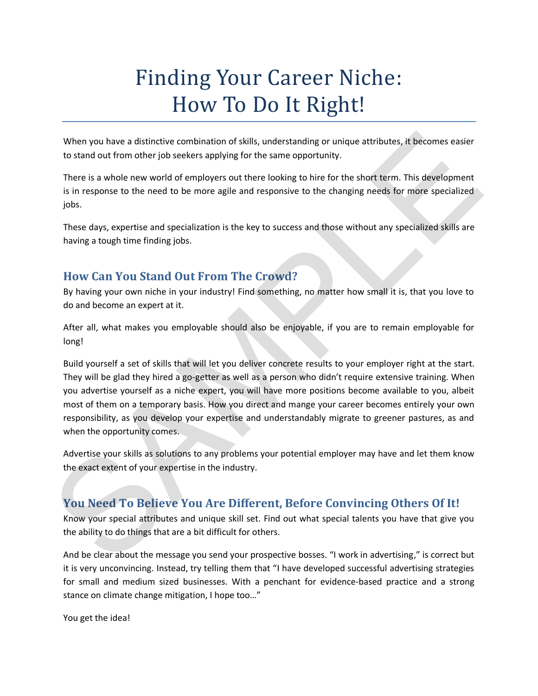## Finding Your Career Niche: How To Do It Right!

When you have a distinctive combination of skills, understanding or unique attributes, it becomes easier to stand out from other job seekers applying for the same opportunity.

There is a whole new world of employers out there looking to hire for the short term. This development is in response to the need to be more agile and responsive to the changing needs for more specialized jobs.

These days, expertise and specialization is the key to success and those without any specialized skills are having a tough time finding jobs.

## **How Can You Stand Out From The Crowd?**

By having your own niche in your industry! Find something, no matter how small it is, that you love to do and become an expert at it.

After all, what makes you employable should also be enjoyable, if you are to remain employable for long!

Build yourself a set of skills that will let you deliver concrete results to your employer right at the start. They will be glad they hired a go-getter as well as a person who didn't require extensive training. When you advertise yourself as a niche expert, you will have more positions become available to you, albeit most of them on a temporary basis. How you direct and mange your career becomes entirely your own responsibility, as you develop your expertise and understandably migrate to greener pastures, as and when the opportunity comes. When you have a distinctive combination of skills, understanding or unique attributes, it becomes easier<br>to stand out from other job seekers applying for the same opportunity.<br>There is a whole new world of employers out t

Advertise your skills as solutions to any problems your potential employer may have and let them know the exact extent of your expertise in the industry.

## **You Need To Believe You Are Different, Before Convincing Others Of It!**

Know your special attributes and unique skill set. Find out what special talents you have that give you the ability to do things that are a bit difficult for others.

And be clear about the message you send your prospective bosses. "I work in advertising," is correct but it is very unconvincing. Instead, try telling them that "I have developed successful advertising strategies for small and medium sized businesses. With a penchant for evidence-based practice and a strong stance on climate change mitigation, I hope too…"

You get the idea!